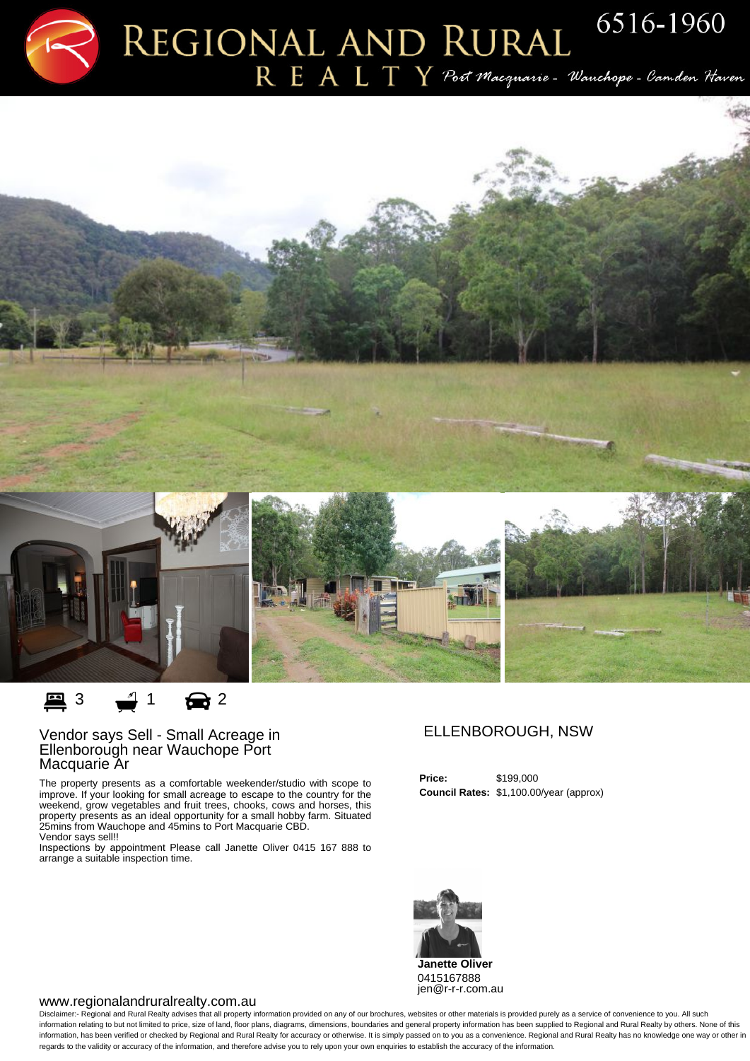$R$   $E$   $A$   $L$   $T$   $Y$   $\mathcal P$ oct Macquarie - Wanchope - Camden Haven



**里3** 1 <del>面</del>2

## Vendor says Sell - Small Acreage in Ellenborough near Wauchope Port Macquarie Ar

The property presents as a comfortable weekender/studio with scope to improve. If your looking for small acreage to escape to the country for the weekend, grow vegetables and fruit trees, chooks, cows and horses, this property presents as an ideal opportunity for a small hobby farm. Situated 25mins from Wauchope and 45mins to Port Macquarie CBD. Vendor says sell!!

Inspections by appointment Please call Janette Oliver 0415 167 888 to arrange a suitable inspection time.

## ELLENBOROUGH, NSW

**Price:** \$199,000 **Council Rates:** \$1,100.00/year (approx)



## www.regionalandruralrealty.com.au

Disclaimer:- Regional and Rural Realty advises that all property information provided on any of our brochures, websites or other materials is provided purely as a service of convenience to you. All such information relating to but not limited to price, size of land, floor plans, diagrams, dimensions, boundaries and general property information has been supplied to Regional and Rural Realty by others. None of this information, has been verified or checked by Regional and Rural Realty for accuracy or otherwise. It is simply passed on to you as a convenience. Regional and Rural Realty has no knowledge one way or other in regards to the validity or accuracy of the information, and therefore advise you to rely upon your own enquiries to establish the accuracy of the information.